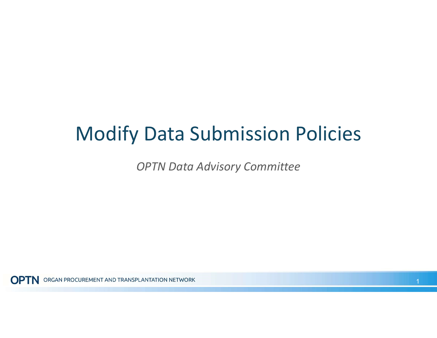## Modify Data Submission Policies

OPTN Data Advisory Committee

**OPTN** ORGAN PROCUREMENT AND TRANSPLANTATION NETWORK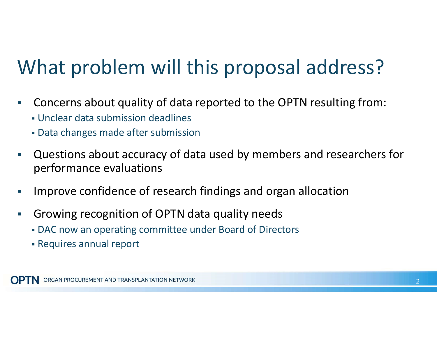# What problem will this proposal address?

- Concerns about quality of data reported to the OPTN resulting from:
	- Unclear data submission deadlines
	- Data changes made after submission
- Questions about accuracy of data used by members and researchers for performance evaluations
- **IMPROVE CONFIDENCE OF research findings and organ allocation**
- **Growing recognition of OPTN data quality needs** 
	- DAC now an operating committee under Board of Directors
	- Requires annual report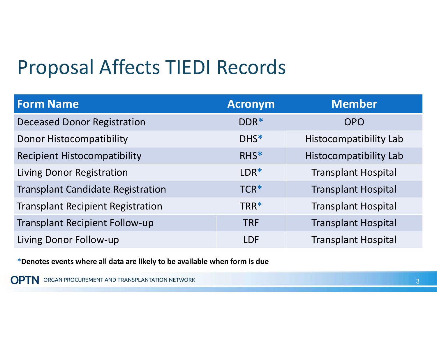## Proposal Affects TIEDI Records

| <b>Form Name</b>                         | <b>Acronym</b>   | <b>Member</b>                 |
|------------------------------------------|------------------|-------------------------------|
| <b>Deceased Donor Registration</b>       | DDR*             | <b>OPO</b>                    |
| <b>Donor Histocompatibility</b>          | DHS*             | <b>Histocompatibility Lab</b> |
| <b>Recipient Histocompatibility</b>      | RHS*             | <b>Histocompatibility Lab</b> |
| <b>Living Donor Registration</b>         | $LDR*$           | <b>Transplant Hospital</b>    |
| <b>Transplant Candidate Registration</b> | TCR <sup>*</sup> | <b>Transplant Hospital</b>    |
| <b>Transplant Recipient Registration</b> | TRR <sup>*</sup> | <b>Transplant Hospital</b>    |
| <b>Transplant Recipient Follow-up</b>    | <b>TRF</b>       | <b>Transplant Hospital</b>    |
| Living Donor Follow-up                   | <b>LDF</b>       | <b>Transplant Hospital</b>    |

\*Denotes events where all data are likely to be available when form is due

**OPTN** ORGAN PROCUREMENT AND TRANSPLANTATION NETWORK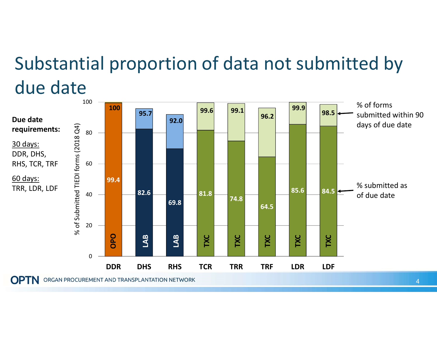# Substantial proportion of data not submitted by due date

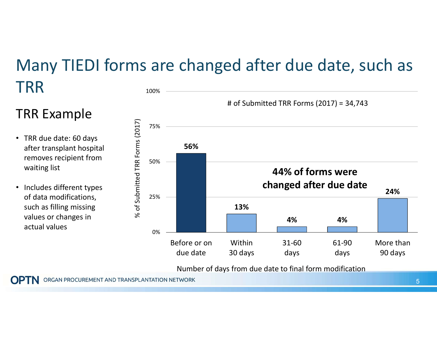#### Many TIEDI forms are changed after due date, such as TRR

#### TRR Example

- • TRR due date: 60 days after transplant hospital removes recipient from waiting list
- • Includes different types of data modifications, such as filling missing values or changes in actual values



Number of days from due date to final form modification

ORGAN PROCUREMENT AND TRANSPLANTATION NETWORK

5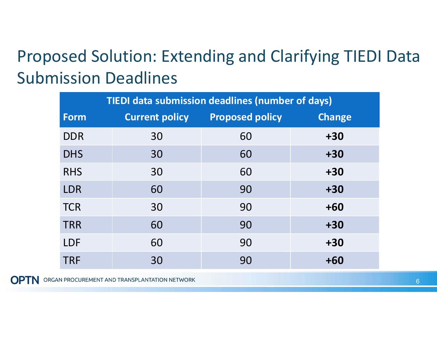#### Proposed Solution: Extending and Clarifying TIEDI Data Submission Deadlines

| TIEDI data submission deadlines (number of days) |    |                                       |               |
|--------------------------------------------------|----|---------------------------------------|---------------|
| <b>Form</b>                                      |    | <b>Current policy Proposed policy</b> | <b>Change</b> |
| <b>DDR</b>                                       | 30 | 60                                    | $+30$         |
| <b>DHS</b>                                       | 30 | 60                                    | $+30$         |
| <b>RHS</b>                                       | 30 | 60                                    | $+30$         |
| <b>LDR</b>                                       | 60 | 90                                    | $+30$         |
| <b>TCR</b>                                       | 30 | 90                                    | $+60$         |
| <b>TRR</b>                                       | 60 | 90                                    | $+30$         |
| <b>LDF</b>                                       | 60 | 90                                    | $+30$         |
| <b>TRF</b>                                       | 30 | 90                                    | $+60$         |

**OPTN** ORGAN PROCUREMENT AND TRANSPLANTATION NETWORK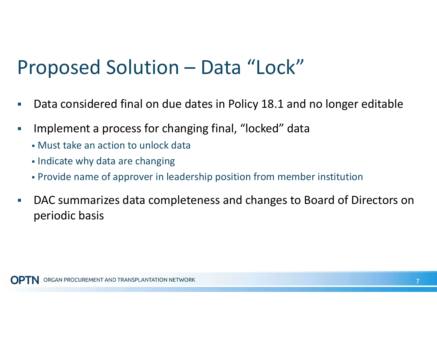### Proposed Solution – Data "Lock"

- Data considered final on due dates in Policy 18.1 and no longer editable
- **Implement a process for changing final, "locked" data** 
	- Must take an action to unlock data
	- Indicate why data are changing
	- Provide name of approver in leadership position from member institution
- **DAC** summarizes data completeness and changes to Board of Directors on periodic basis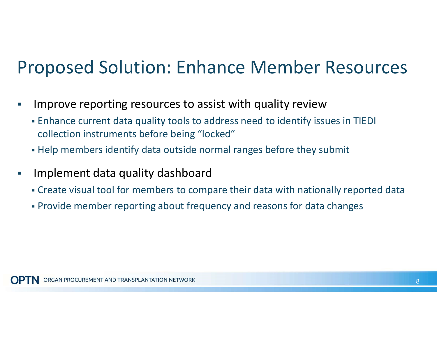#### Proposed Solution: Enhance Member Resources

- **IMPROVE reporting resources to assist with quality review** 
	- Enhance current data quality tools to address need to identify issues in TIEDI collection instruments before being "locked"
	- Help members identify data outside normal ranges before they submit
- **Implement data quality dashboard** 
	- Create visual tool for members to compare their data with nationally reported data
	- Provide member reporting about frequency and reasons for data changes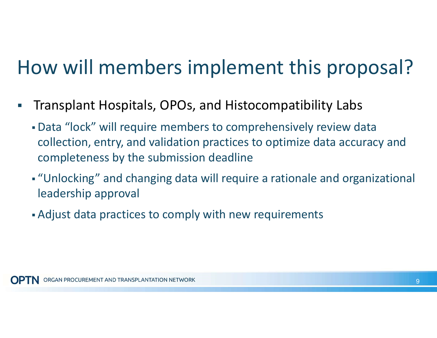# How will members implement this proposal?

- **Transplant Hospitals, OPOs, and Histocompatibility Labs** 
	- Data "lock" will require members to comprehensively review data collection, entry, and validation practices to optimize data accuracy and completeness by the submission deadline
	- "Unlocking" and changing data will require a rationale and organizational leadership approval
	- Adjust data practices to comply with new requirements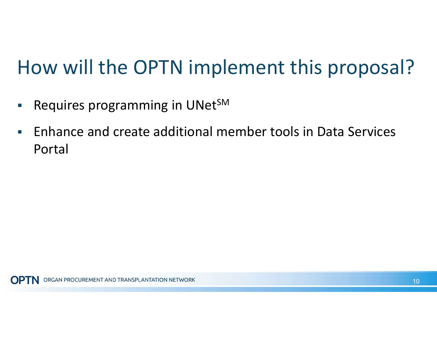# How will the OPTN implement this proposal?

- Requires programming in UNet<sup>SM</sup>
- Enhance and create additional member tools in Data Services Portal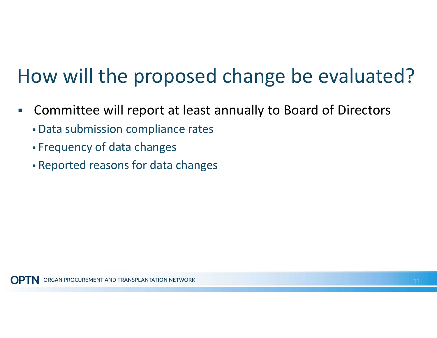# How will the proposed change be evaluated?

- Committee will report at least annually to Board of Directors
	- Data submission compliance rates
	- Frequency of data changes
	- Reported reasons for data changes